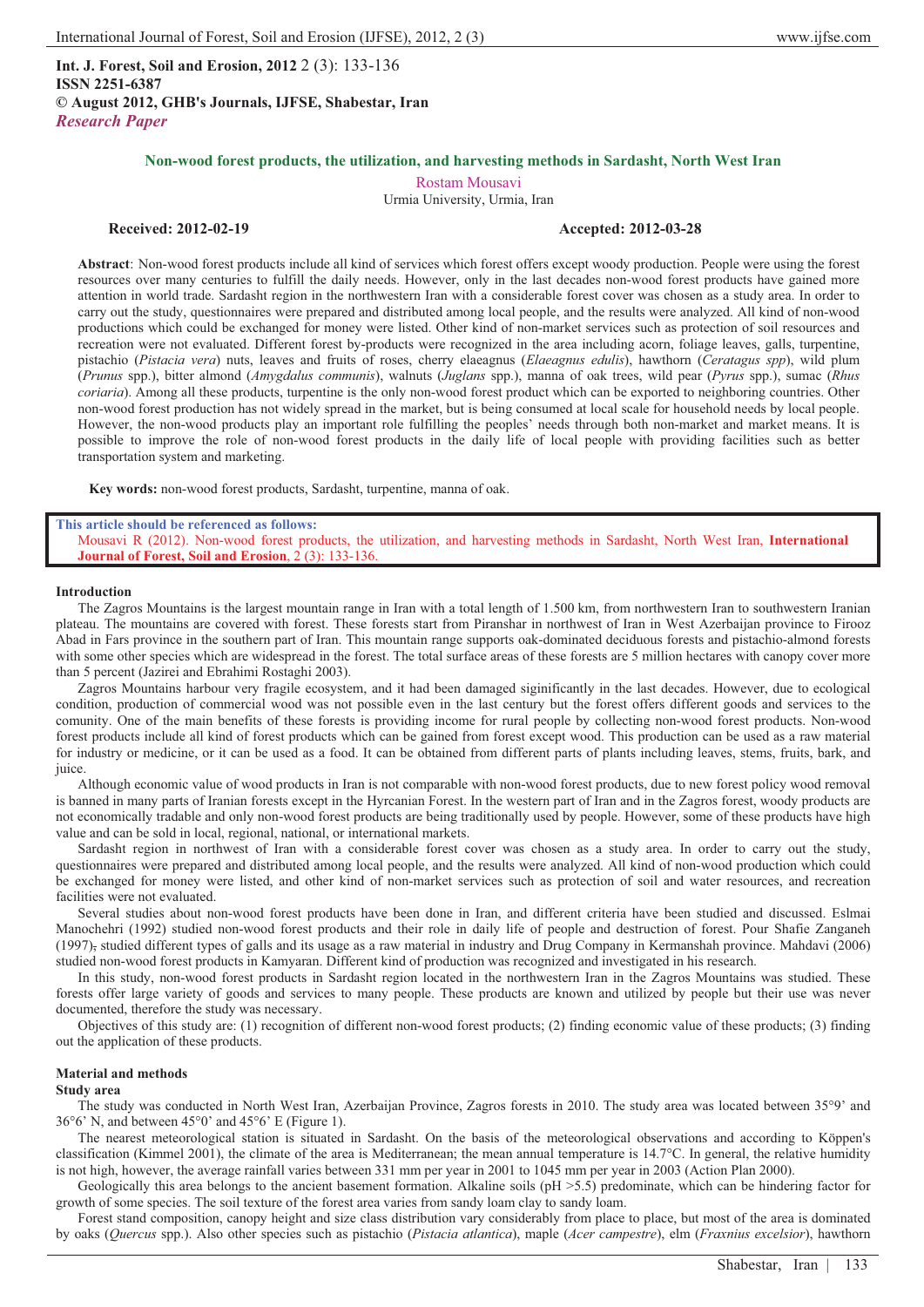**Int. J. Forest, Soil and Erosion, 2012** 2 (3): 133-136 **ISSN 2251-6387 © August 2012, GHB's Journals, IJFSE, Shabestar, Iran** *Research Paper*

# **Non-wood forest products, the utilization, and harvesting methods in Sardasht, North West Iran**

Rostam Mousavi

Urmia University, Urmia, Iran

# **Received: 2012-02-19 Accepted: 2012-03-28**

**Abstract**: Non-wood forest products include all kind of services which forest offers except woody production. People were using the forest resources over many centuries to fulfill the daily needs. However, only in the last decades non-wood forest products have gained more attention in world trade. Sardasht region in the northwestern Iran with a considerable forest cover was chosen as a study area. In order to carry out the study, questionnaires were prepared and distributed among local people, and the results were analyzed. All kind of non-wood productions which could be exchanged for money were listed. Other kind of non-market services such as protection of soil resources and recreation were not evaluated. Different forest by-products were recognized in the area including acorn, foliage leaves, galls, turpentine, pistachio (*Pistacia vera*) nuts, leaves and fruits of roses, cherry elaeagnus (*Elaeagnus edulis*), hawthorn (*Ceratagus spp*), wild plum (*Prunus* spp.), bitter almond (*Amygdalus communis*), walnuts (*Juglans* spp.), manna of oak trees, wild pear (*Pyrus* spp.), sumac (*Rhus coriaria*). Among all these products, turpentine is the only non-wood forest product which can be exported to neighboring countries. Other non-wood forest production has not widely spread in the market, but is being consumed at local scale for household needs by local people. However, the non-wood products play an important role fulfilling the peoples' needs through both non-market and market means. It is possible to improve the role of non-wood forest products in the daily life of local people with providing facilities such as better transportation system and marketing.

**Key words:** non-wood forest products, Sardasht, turpentine, manna of oak.

#### **This article should be referenced as follows:**

Mousavi R (2012). Non-wood forest products, the utilization, and harvesting methods in Sardasht, North West Iran, **International Journal of Forest, Soil and Erosion**, 2 (3): 133-136.

## **Introduction**

The Zagros Mountains is the largest mountain range in Iran with a total length of 1.500 km, from northwestern Iran to southwestern Iranian plateau. The mountains are covered with forest. These forests start from Piranshar in northwest of Iran in West Azerbaijan province to Firooz Abad in Fars province in the southern part of Iran. This mountain range supports oak-dominated deciduous forests and pistachio-almond forests with some other species which are widespread in the forest. The total surface areas of these forests are 5 million hectares with canopy cover more than 5 percent (Jazirei and Ebrahimi Rostaghi 2003).

Zagros Mountains harbour very fragile ecosystem, and it had been damaged siginificantly in the last decades. However, due to ecological condition, production of commercial wood was not possible even in the last century but the forest offers different goods and services to the comunity. One of the main benefits of these forests is providing income for rural people by collecting non-wood forest products. Non-wood forest products include all kind of forest products which can be gained from forest except wood. This production can be used as a raw material for industry or medicine, or it can be used as a food. It can be obtained from different parts of plants including leaves, stems, fruits, bark, and juice.

Although economic value of wood products in Iran is not comparable with non-wood forest products, due to new forest policy wood removal is banned in many parts of Iranian forests except in the Hyrcanian Forest. In the western part of Iran and in the Zagros forest, woody products are not economically tradable and only non-wood forest products are being traditionally used by people. However, some of these products have high value and can be sold in local, regional, national, or international markets.

Sardasht region in northwest of Iran with a considerable forest cover was chosen as a study area. In order to carry out the study, questionnaires were prepared and distributed among local people, and the results were analyzed. All kind of non-wood production which could be exchanged for money were listed, and other kind of non-market services such as protection of soil and water resources, and recreation facilities were not evaluated.

Several studies about non-wood forest products have been done in Iran, and different criteria have been studied and discussed. Eslmai Manochehri (1992) studied non-wood forest products and their role in daily life of people and destruction of forest. Pour Shafie Zanganeh (1997), studied different types of galls and its usage as a raw material in industry and Drug Company in Kermanshah province. Mahdavi (2006) studied non-wood forest products in Kamyaran. Different kind of production was recognized and investigated in his research.

In this study, non-wood forest products in Sardasht region located in the northwestern Iran in the Zagros Mountains was studied. These forests offer large variety of goods and services to many people. These products are known and utilized by people but their use was never documented, therefore the study was necessary.

Objectives of this study are: (1) recognition of different non-wood forest products; (2) finding economic value of these products; (3) finding out the application of these products.

## **Material and methods**

## **Study area**

The study was conducted in North West Iran, Azerbaijan Province, Zagros forests in 2010. The study area was located between 35°9' and  $36^{\circ}6'$  N, and between  $45^{\circ}0'$  and  $45^{\circ}6'$  E (Figure 1).

The nearest meteorological station is situated in Sardasht. On the basis of the meteorological observations and according to Köppen's classification (Kimmel 2001), the climate of the area is Mediterranean; the mean annual temperature is  $14.7^{\circ}$ C. In general, the relative humidity is not high, however, the average rainfall varies between 331 mm per year in 2001 to 1045 mm per year in 2003 (Action Plan 2000).

Geologically this area belongs to the ancient basement formation. Alkaline soils (pH > 5.5) predominate, which can be hindering factor for growth of some species. The soil texture of the forest area varies from sandy loam clay to sandy loam.

Forest stand composition, canopy height and size class distribution vary considerably from place to place, but most of the area is dominated by oaks (*Quercus* spp.). Also other species such as pistachio (*Pistacia atlantica*), maple (*Acer campestre*), elm (*Fraxnius excelsior*), hawthorn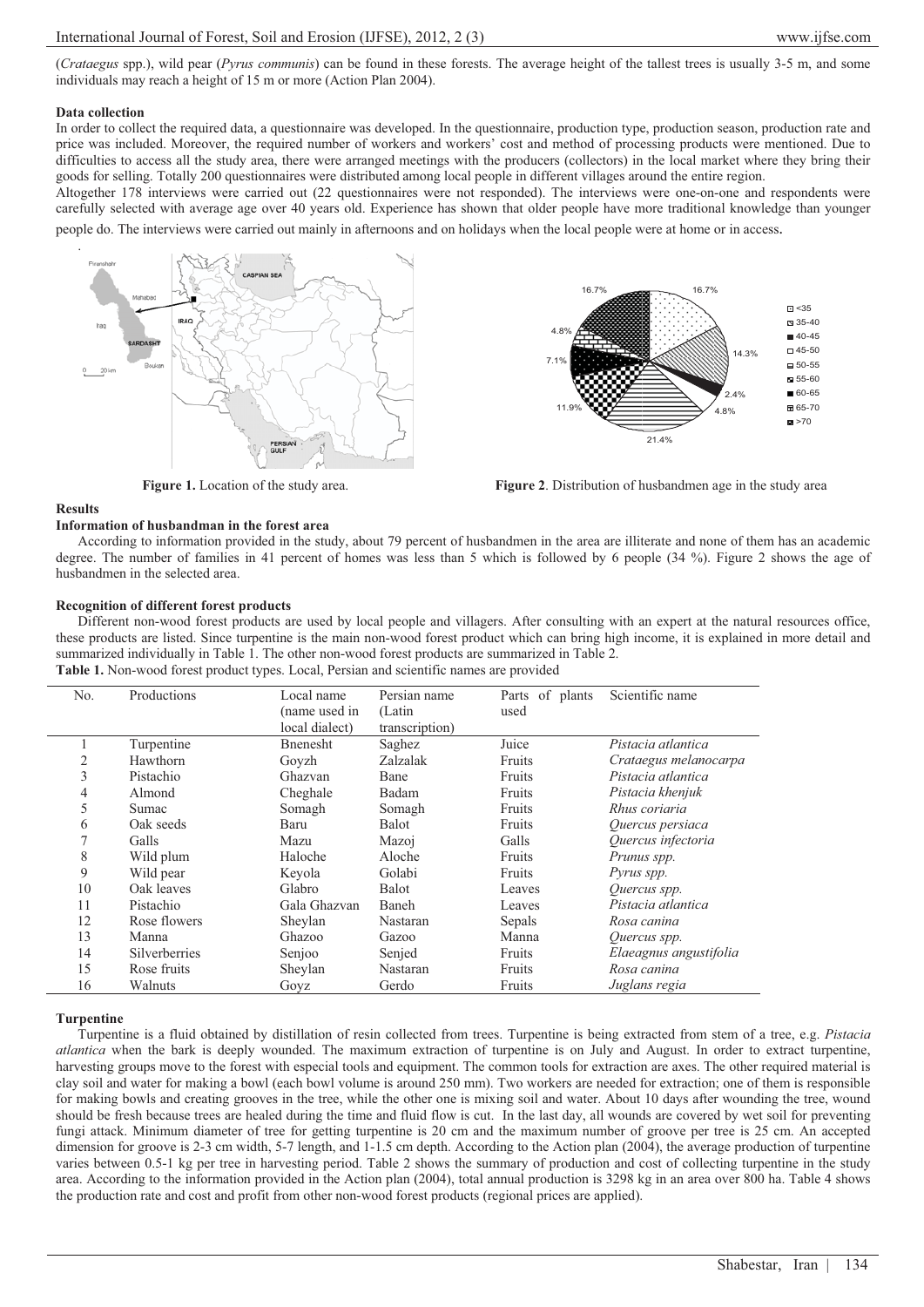(*Crataegus* spp.), wild pear (*Pyrus communis*) can be found in these forests. The average height of the tallest trees is usually 3-5 m, and some individuals may reach a height of 15 m or more (Action Plan 2004).

## **Data collection**

In order to collect the required data, a questionnaire was developed. In the questionnaire, production type, production season, production rate and price was included. Moreover, the required number of workers and workers' cost and method of processing products were mentioned. Due to difficulties to access all the study area, there were arranged meetings with the producers (collectors) in the local market where they bring their goods for selling. Totally 200 questionnaires were distributed among local people in different villages around the entire region.

Altogether 178 interviews were carried out (22 questionnaires were not responded). The interviews were one-on-one and respondents were carefully selected with average age over 40 years old. Experience has shown that older people have more traditional knowledge than younger

people do. The interviews were carried out mainly in afternoons and on holidays when the local people were at home or in access. .





## **Figure 1.** Location of the study area. **Figure 2.** Distribution of husbandmen age in the study area

### **Results**

**Information of husbandman in the forest area**  According to information provided in the study, about 79 percent of husbandmen in the area are illiterate and none of them has an academic degree. The number of families in 41 percent of homes was less than 5 which is followed by 6 people (34 %). Figure 2 shows the age of husbandmen in the selected area.

## **Recognition of different forest products**

Different non-wood forest products are used by local people and villagers. After consulting with an expert at the natural resources office, these products are listed. Since turpentine is the main non-wood forest product which can bring high income, it is explained in more detail and summarized individually in Table 1. The other non-wood forest products are summarized in Table 2. **Table 1.** Non-wood forest product types. Local, Persian and scientific names are provided

| No. | Productions          | Local name       | Persian name   | Parts of plants | Scientific name        |
|-----|----------------------|------------------|----------------|-----------------|------------------------|
|     |                      | (name used in    | (Latin         | used            |                        |
|     |                      | local dialect)   | transcription) |                 |                        |
|     | Turpentine           | <b>B</b> nenesht | Saghez         | Juice           | Pistacia atlantica     |
| 2   | Hawthorn             | Goyzh            | Zalzalak       | Fruits          | Crataegus melanocarpa  |
| 3   | Pistachio            | Ghazvan          | Bane           | Fruits          | Pistacia atlantica     |
| 4   | Almond               | Cheghale         | Badam          | Fruits          | Pistacia khenjuk       |
| 5   | Sumac                | Somagh           | Somagh         | Fruits          | Rhus coriaria          |
| 6   | Oak seeds            | Baru             | Balot          | Fruits          | Quercus persiaca       |
| 7   | Galls                | Mazu             | Mazoj          | Galls           | Quercus infectoria     |
| 8   | Wild plum            | Haloche          | Aloche         | Fruits          | Prunus spp.            |
| 9   | Wild pear            | Keyola           | Golabi         | Fruits          | <i>Pyrus spp.</i>      |
| 10  | Oak leaves           | Glabro           | Balot          | Leaves          | Quercus spp.           |
| 11  | Pistachio            | Gala Ghazvan     | Baneh          | Leaves          | Pistacia atlantica     |
| 12  | Rose flowers         | Sheylan          | Nastaran       | Sepals          | Rosa canina            |
| 13  | Manna                | Ghazoo           | Gazoo          | Manna           | Quercus spp.           |
| 14  | <b>Silverberries</b> | Senjoo           | Senjed         | Fruits          | Elaeagnus angustifolia |
| 15  | Rose fruits          | Sheylan          | Nastaran       | Fruits          | Rosa canina            |
| 16  | Walnuts              | Goyz             | Gerdo          | Fruits          | Juglans regia          |

# **Turpentine**

Turpentine is a fluid obtained by distillation of resin collected from trees. Turpentine is being extracted from stem of a tree, e.g. *Pistacia atlantica* when the bark is deeply wounded. The maximum extraction of turpentine is on July and August. In order to extract turpentine, harvesting groups move to the forest with especial tools and equipment. The common tools for extraction are axes. The other required material is clay soil and water for making a bowl (each bowl volume is around 250 mm). Two workers are needed for extraction; one of them is responsible for making bowls and creating grooves in the tree, while the other one is mixing soil and water. About 10 days after wounding the tree, wound should be fresh because trees are healed during the time and fluid flow is cut. In the last day, all wounds are covered by wet soil for preventing fungi attack. Minimum diameter of tree for getting turpentine is 20 cm and the maximum number of groove per tree is 25 cm. An accepted dimension for groove is 2-3 cm width, 5-7 length, and 1-1.5 cm depth. According to the Action plan (2004), the average production of turpentine varies between 0.5-1 kg per tree in harvesting period. Table 2 shows the summary of production and cost of collecting turpentine in the study area. According to the information provided in the Action plan (2004), total annual production is 3298 kg in an area over 800 ha. Table 4 shows the production rate and cost and profit from other non-wood forest products (regional prices are applied).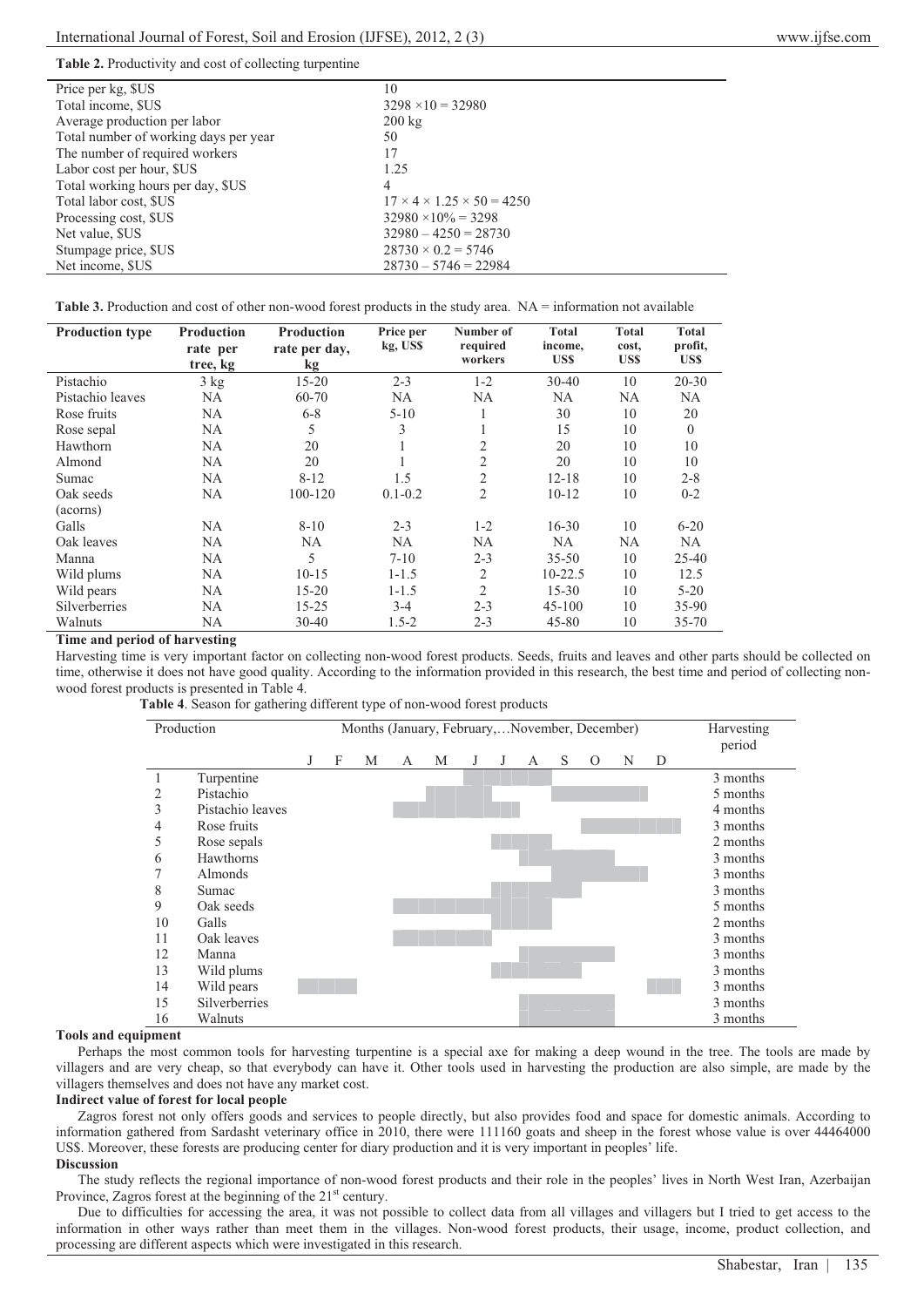## **Table 2.** Productivity and cost of collecting turpentine

| Price per kg, \$US                    | 10                                         |
|---------------------------------------|--------------------------------------------|
| Total income, \$US                    | $3298 \times 10 = 32980$                   |
| Average production per labor          | $200 \text{ kg}$                           |
| Total number of working days per year | 50                                         |
| The number of required workers        | 17                                         |
| Labor cost per hour, \$US             | 1.25                                       |
| Total working hours per day, \$US     | 4                                          |
| Total labor cost, SUS                 | $17 \times 4 \times 1.25 \times 50 = 4250$ |
| Processing cost, \$US                 | $32980 \times 10\% = 3298$                 |
| Net value, SUS                        | $32980 - 4250 = 28730$                     |
| Stumpage price, \$US                  | $28730 \times 0.2 = 5746$                  |
| Net income, SUS                       | $28730 - 5746 = 22984$                     |

| <b>Table 3.</b> Production and cost of other non-wood forest products in the study area. $NA =$ information not available |  |  |  |
|---------------------------------------------------------------------------------------------------------------------------|--|--|--|
|                                                                                                                           |  |  |  |

| <b>Production type</b> | <b>Production</b> | Production    | Price per   | Number of      | Total       | <b>Total</b> | <b>Total</b> |
|------------------------|-------------------|---------------|-------------|----------------|-------------|--------------|--------------|
|                        | rate per          | rate per day, | kg, US\$    | required       | income,     | cost,        | profit,      |
|                        | tree, kg          | kg            |             | workers        | <b>USS</b>  | US\$         | US\$         |
| Pistachio              | 3 kg              | $15 - 20$     | $2 - 3$     | $1 - 2$        | $30 - 40$   | 10           | $20 - 30$    |
| Pistachio leaves       | <b>NA</b>         | 60-70         | NA          | NA             | NA          | NA           | NA.          |
| Rose fruits            | <b>NA</b>         | $6 - 8$       | $5-10$      | 1              | 30          | 10           | 20           |
| Rose sepal             | <b>NA</b>         | 5             | 3           | 1              | 15          | 10           | $\theta$     |
| Hawthorn               | <b>NA</b>         | 20            |             | 2              | 20          | 10           | 10           |
| Almond                 | <b>NA</b>         | 20            |             | $\overline{2}$ | 20          | 10           | 10           |
| Sumac                  | <b>NA</b>         | $8 - 12$      | 1.5         | $\mathfrak{2}$ | $12 - 18$   | 10           | $2 - 8$      |
| Oak seeds              | <b>NA</b>         | 100-120       | $0.1 - 0.2$ | $\overline{2}$ | $10 - 12$   | 10           | $0 - 2$      |
| (acorns)               |                   |               |             |                |             |              |              |
| Galls                  | NA                | $8 - 10$      | $2 - 3$     | $1 - 2$        | $16 - 30$   | 10           | $6 - 20$     |
| Oak leaves             | <b>NA</b>         | NA            | NA          | NA             | <b>NA</b>   | NA           | NA.          |
| Manna                  | NA                | 5             | $7 - 10$    | $2 - 3$        | $35 - 50$   | 10           | $25 - 40$    |
| Wild plums             | NA                | $10 - 15$     | $1 - 1.5$   | 2              | $10 - 22.5$ | 10           | 12.5         |
| Wild pears             | NA                | $15 - 20$     | $1 - 1.5$   | $\overline{2}$ | $15 - 30$   | 10           | $5 - 20$     |
| Silverberries          | <b>NA</b>         | $15 - 25$     | $3-4$       | $2 - 3$        | $45 - 100$  | 10           | $35 - 90$    |
| Walnuts                | NA                | $30 - 40$     | $1.5 - 2$   | $2 - 3$        | $45 - 80$   | 10           | 35-70        |

## **Time and period of harvesting**

Harvesting time is very important factor on collecting non-wood forest products. Seeds, fruits and leaves and other parts should be collected on time, otherwise it does not have good quality. According to the information provided in this research, the best time and period of collecting nonwood forest products is presented in Table 4.

**Table 4**. Season for gathering different type of non-wood forest products

| Production |                  |   | Months (January, February,  November, December) |   |   |   |   |  |   |   |          | Harvesting<br>period |   |          |
|------------|------------------|---|-------------------------------------------------|---|---|---|---|--|---|---|----------|----------------------|---|----------|
|            |                  | J | F                                               | М | A | М | J |  | А | S | $\Omega$ | N                    | D |          |
|            | Turpentine       |   |                                                 |   |   |   |   |  |   |   |          |                      |   | 3 months |
| 2          | Pistachio        |   |                                                 |   |   |   |   |  |   |   |          |                      |   | 5 months |
| 3          | Pistachio leaves |   |                                                 |   |   |   |   |  |   |   |          |                      |   | 4 months |
| 4          | Rose fruits      |   |                                                 |   |   |   |   |  |   |   |          |                      |   | 3 months |
| 5          | Rose sepals      |   |                                                 |   |   |   |   |  |   |   |          |                      |   | 2 months |
| 6          | Hawthorns        |   |                                                 |   |   |   |   |  |   |   |          |                      |   | 3 months |
|            | Almonds          |   |                                                 |   |   |   |   |  |   |   |          |                      |   | 3 months |
| 8          | Sumac            |   |                                                 |   |   |   |   |  |   |   |          |                      |   | 3 months |
| 9          | Oak seeds        |   |                                                 |   |   |   |   |  |   |   |          |                      |   | 5 months |
| 10         | Galls            |   |                                                 |   |   |   |   |  |   |   |          |                      |   | 2 months |
| 11         | Oak leaves       |   |                                                 |   |   |   |   |  |   |   |          |                      |   | 3 months |
| 12         | Manna            |   |                                                 |   |   |   |   |  |   |   |          |                      |   | 3 months |
| 13         | Wild plums       |   |                                                 |   |   |   |   |  |   |   |          |                      |   | 3 months |
| 14         | Wild pears       |   |                                                 |   |   |   |   |  |   |   |          |                      |   | 3 months |
| 15         | Silverberries    |   |                                                 |   |   |   |   |  |   |   |          |                      |   | 3 months |
| 16         | Walnuts          |   |                                                 |   |   |   |   |  |   |   |          |                      |   | 3 months |

## **Tools and equipment**

Perhaps the most common tools for harvesting turpentine is a special axe for making a deep wound in the tree. The tools are made by villagers and are very cheap, so that everybody can have it. Other tools used in harvesting the production are also simple, are made by the villagers themselves and does not have any market cost.

# **Indirect value of forest for local people**

Zagros forest not only offers goods and services to people directly, but also provides food and space for domestic animals. According to information gathered from Sardasht veterinary office in 2010, there were 111160 goats and sheep in the forest whose value is over 44464000 US\$. Moreover, these forests are producing center for diary production and it is very important in peoples' life. **Discussion** 

The study reflects the regional importance of non-wood forest products and their role in the peoples' lives in North West Iran, Azerbaijan Province, Zagros forest at the beginning of the 21<sup>st</sup> century.

Due to difficulties for accessing the area, it was not possible to collect data from all villages and villagers but I tried to get access to the information in other ways rather than meet them in the villages. Non-wood forest products, their usage, income, product collection, and processing are different aspects which were investigated in this research.